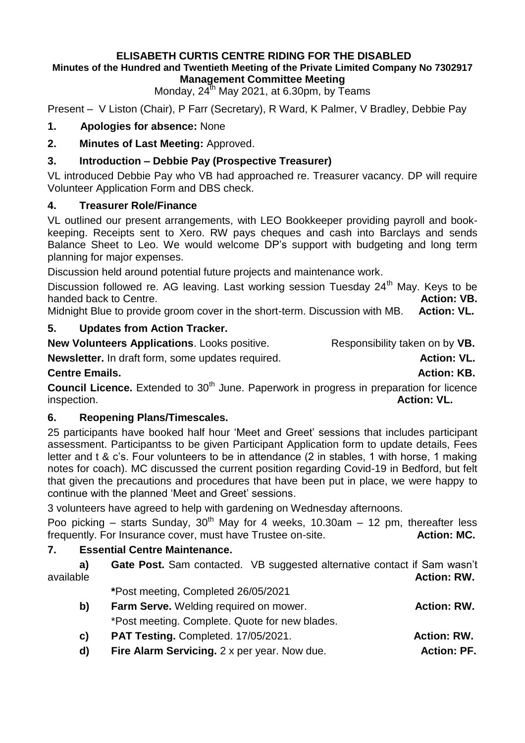# **ELISABETH CURTIS CENTRE RIDING FOR THE DISABLED**

#### **Minutes of the Hundred and Twentieth Meeting of the Private Limited Company No 7302917 Management Committee Meeting**

Monday,  $24^{th}$  May 2021, at 6.30pm, by Teams

Present – V Liston (Chair), P Farr (Secretary), R Ward, K Palmer, V Bradley, Debbie Pay

### **1. Apologies for absence:** None

**2. Minutes of Last Meeting:** Approved.

### **3. Introduction – Debbie Pay (Prospective Treasurer)**

VL introduced Debbie Pay who VB had approached re. Treasurer vacancy. DP will require Volunteer Application Form and DBS check.

### **4. Treasurer Role/Finance**

VL outlined our present arrangements, with LEO Bookkeeper providing payroll and bookkeeping. Receipts sent to Xero. RW pays cheques and cash into Barclays and sends Balance Sheet to Leo. We would welcome DP's support with budgeting and long term planning for major expenses.

Discussion held around potential future projects and maintenance work.

Discussion followed re. AG leaving. Last working session Tuesday 24<sup>th</sup> May. Keys to be handed back to Centre. **Action: VB. Action: VB. Action: VB. Action: VB.** 

Midnight Blue to provide groom cover in the short-term. Discussion with MB. **Action: VL.**

# **5. Updates from Action Tracker.**

**New Volunteers Applications**. Looks positive. Responsibility taken on by VB.

**Newsletter.** In draft form, some updates required. **Action: VL.** Action: VL.

#### **Centre Emails. Centre Emails. Action: KB. Action: KB. Action: KB. Action: KB.**

**Council Licence.** Extended to 30<sup>th</sup> June. Paperwork in progress in preparation for licence inspection. **Action: VL. Action: VL.** 

#### **6. Reopening Plans/Timescales.**

25 participants have booked half hour 'Meet and Greet' sessions that includes participant assessment. Participantss to be given Participant Application form to update details, Fees letter and t & c's. Four volunteers to be in attendance (2 in stables, 1 with horse, 1 making notes for coach). MC discussed the current position regarding Covid-19 in Bedford, but felt that given the precautions and procedures that have been put in place, we were happy to continue with the planned 'Meet and Greet' sessions.

3 volunteers have agreed to help with gardening on Wednesday afternoons.

Poo picking – starts Sunday,  $30<sup>th</sup>$  May for 4 weeks, 10.30am – 12 pm, thereafter less frequently. For Insurance cover, must have Trustee on-site. **Action: MC.**

# **7. Essential Centre Maintenance.**

| a)<br>available | <b>Gate Post.</b> Sam contacted. VB suggested alternative contact if Sam wasn't<br><b>Action: RW.</b> |  |
|-----------------|-------------------------------------------------------------------------------------------------------|--|
|                 | *Post meeting, Completed 26/05/2021                                                                   |  |
| b)              | Farm Serve. Welding required on mower.<br><b>Action: RW.</b>                                          |  |
|                 | *Post meeting. Complete. Quote for new blades.                                                        |  |

- **c) PAT Testing.** Completed. 17/05/2021. **Action: RW.**
- **d)** Fire Alarm Servicing. 2 x per year. Now due. **Action: PF.**